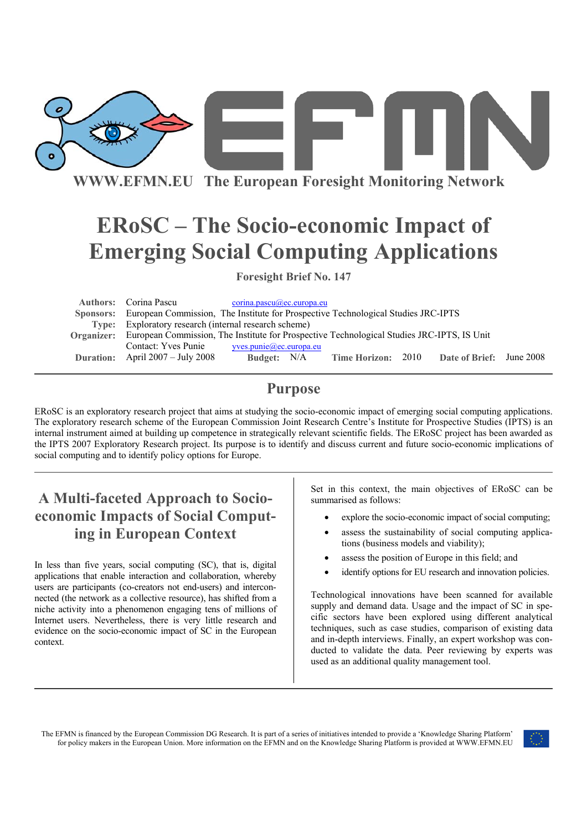

# **ERoSC – The Socio-economic Impact of Emerging Social Computing Applications**

**Foresight Brief No. 147** 

| <b>Authors:</b> Corina Pascu                                                                          | corina.pascu@ec.europa.eu |  |                           |  |                                 |  |
|-------------------------------------------------------------------------------------------------------|---------------------------|--|---------------------------|--|---------------------------------|--|
| Sponsors: European Commission, The Institute for Prospective Technological Studies JRC-IPTS           |                           |  |                           |  |                                 |  |
| Type: Exploratory research (internal research scheme)                                                 |                           |  |                           |  |                                 |  |
| Organizer: European Commission, The Institute for Prospective Technological Studies JRC-IPTS, IS Unit |                           |  |                           |  |                                 |  |
| Contact: Yves Punie                                                                                   | yves. punie@ec.europa.eu  |  |                           |  |                                 |  |
| <b>Duration:</b> April $2007 - \text{July } 2008$                                                     | Budget: N/A               |  | <b>Time Horizon: 2010</b> |  | <b>Date of Brief:</b> June 2008 |  |

## **Purpose**

ERoSC is an exploratory research project that aims at studying the socio-economic impact of emerging social computing applications. The exploratory research scheme of the European Commission Joint Research Centre's Institute for Prospective Studies (IPTS) is an internal instrument aimed at building up competence in strategically relevant scientific fields. The ERoSC project has been awarded as the IPTS 2007 Exploratory Research project. Its purpose is to identify and discuss current and future socio-economic implications of social computing and to identify policy options for Europe.

# **A Multi-faceted Approach to Socioeconomic Impacts of Social Computing in European Context**

In less than five years, social computing (SC), that is, digital applications that enable interaction and collaboration, whereby users are participants (co-creators not end-users) and interconnected (the network as a collective resource), has shifted from a niche activity into a phenomenon engaging tens of millions of Internet users. Nevertheless, there is very little research and evidence on the socio-economic impact of SC in the European context.

Set in this context, the main objectives of ERoSC can be summarised as follows:

- explore the socio-economic impact of social computing;
- assess the sustainability of social computing applications (business models and viability);
- assess the position of Europe in this field; and
- identify options for EU research and innovation policies.

Technological innovations have been scanned for available supply and demand data. Usage and the impact of SC in specific sectors have been explored using different analytical techniques, such as case studies, comparison of existing data and in-depth interviews. Finally, an expert workshop was conducted to validate the data. Peer reviewing by experts was used as an additional quality management tool.

The EFMN is financed by the European Commission DG Research. It is part of a series of initiatives intended to provide a 'Knowledge Sharing Platform' for policy makers in the European Union. More information on the EFMN and on the Knowledge Sharing Platform is provided at WWW.EFMN.EU

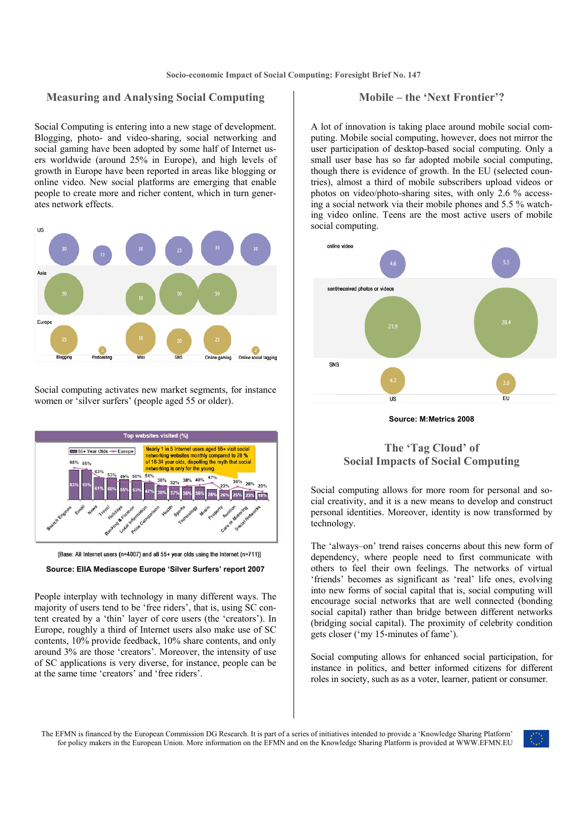### **Measuring and Analysing Social Computing**

#### Social Computing is entering into a new stage of development. Blogging, photo- and video-sharing, social networking and social gaming have been adopted by some half of Internet users worldwide (around 25% in Europe), and high levels of growth in Europe have been reported in areas like blogging or online video. New social platforms are emerging that enable people to create more and richer content, which in turn generates network effects.



Social computing activates new market segments, for instance women or 'silver surfers' (people aged 55 or older).





#### **Source: EIIA Mediascope Europe 'Silver Surfers' report 2007**

People interplay with technology in many different ways. The majority of users tend to be 'free riders', that is, using SC content created by a 'thin' layer of core users (the 'creators'). In Europe, roughly a third of Internet users also make use of SC contents, 10% provide feedback, 10% share contents, and only around 3% are those 'creators'. Moreover, the intensity of use of SC applications is very diverse, for instance, people can be at the same time 'creators' and 'free riders'.

### **Mobile – the 'Next Frontier'?**

A lot of innovation is taking place around mobile social computing. Mobile social computing, however, does not mirror the user participation of desktop-based social computing. Only a small user base has so far adopted mobile social computing, though there is evidence of growth. In the EU (selected countries), almost a third of mobile subscribers upload videos or photos on video/photo-sharing sites, with only 2.6 % accessing a social network via their mobile phones and 5.5 % watching video online. Teens are the most active users of mobile social computing.



**Source: M:Metrics 2008**

### **The 'Tag Cloud' of Social Impacts of Social Computing**

Social computing allows for more room for personal and social creativity, and it is a new means to develop and construct personal identities. Moreover, identity is now transformed by technology.

The 'always–on' trend raises concerns about this new form of dependency, where people need to first communicate with others to feel their own feelings. The networks of virtual 'friends' becomes as significant as 'real' life ones, evolving into new forms of social capital that is, social computing will encourage social networks that are well connected (bonding social capital) rather than bridge between different networks (bridging social capital). The proximity of celebrity condition gets closer ('my 15-minutes of fame').

Social computing allows for enhanced social participation, for instance in politics, and better informed citizens for different roles in society, such as as a voter, learner, patient or consumer.

The EFMN is financed by the European Commission DG Research. It is part of a series of initiatives intended to provide a 'Knowledge Sharing Platform' for policy makers in the European Union. More information on the EFMN and on the Knowledge Sharing Platform is provided at WWW.EFMN.EU